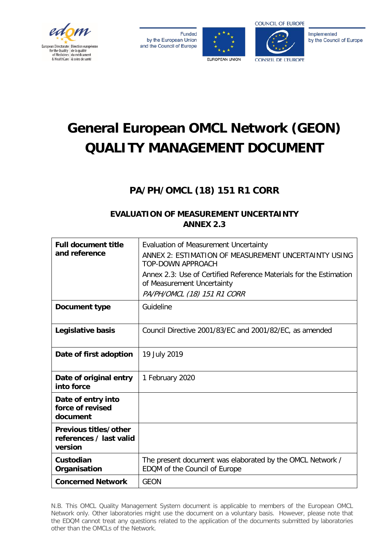

**Funded** by the European Union and the Council of Europe





Implemented by the Council of Europe

# **General European OMCL Network (GEON) QUALITY MANAGEMENT DOCUMENT**

# **PA/PH/OMCL (18) 151 R1 CORR**

## **EVALUATION OF MEASUREMENT UNCERTAINTY ANNEX 2.3**

| <b>Full document title</b><br>and reference                 | Evaluation of Measurement Uncertainty<br>ANNEX 2: ESTIMATION OF MEASUREMENT UNCERTAINTY USING<br><b>TOP-DOWN APPROACH</b><br>Annex 2.3: Use of Certified Reference Materials for the Estimation<br>of Measurement Uncertainty<br>PA/PH/OMCL (18) 151 R1 CORR |
|-------------------------------------------------------------|--------------------------------------------------------------------------------------------------------------------------------------------------------------------------------------------------------------------------------------------------------------|
| Document type                                               | Guideline                                                                                                                                                                                                                                                    |
| Legislative basis                                           | Council Directive 2001/83/EC and 2001/82/EC, as amended                                                                                                                                                                                                      |
| Date of first adoption                                      | 19 July 2019                                                                                                                                                                                                                                                 |
| Date of original entry<br>into force                        | 1 February 2020                                                                                                                                                                                                                                              |
| Date of entry into<br>force of revised<br>document          |                                                                                                                                                                                                                                                              |
| Previous titles/other<br>references / last valid<br>version |                                                                                                                                                                                                                                                              |
| Custodian<br>Organisation                                   | The present document was elaborated by the OMCL Network /<br>EDQM of the Council of Europe                                                                                                                                                                   |
| <b>Concerned Network</b>                                    | <b>GEON</b>                                                                                                                                                                                                                                                  |

N.B. This OMCL Quality Management System document is applicable to members of the European OMCL Network only. Other laboratories might use the document on a voluntary basis. However, please note that the EDQM cannot treat any questions related to the application of the documents submitted by laboratories other than the OMCLs of the Network.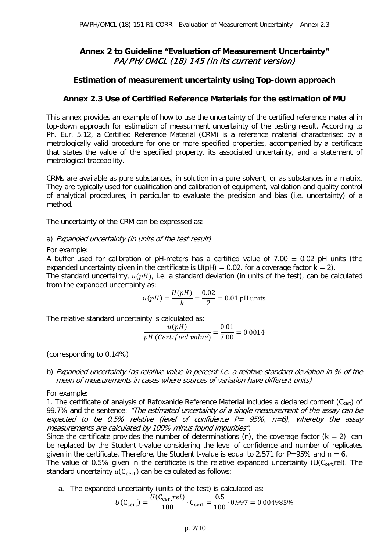## **Annex 2 to Guideline "Evaluation of Measurement Uncertainty"**  PA/PH/OMCL (18) 145 (in its current version)

## **Estimation of measurement uncertainty using Top-down approach**

## **Annex 2.3 Use of Certified Reference Materials for the estimation of MU**

This annex provides an example of how to use the uncertainty of the certified reference material in top-down approach for estimation of measurment uncertainty of the testing result. According to Ph. Eur. 5.12, a Certified Reference Material (CRM) is a reference material characterised by a metrologically valid procedure for one or more specified properties, accompanied by a certificate that states the value of the specified property, its associated uncertainty, and a statement of metrological traceability.

CRMs are available as pure substances, in solution in a pure solvent, or as substances in a matrix. They are typically used for qualification and calibration of equipment, validation and quality control of analytical procedures, in particular to evaluate the precision and bias (i.e. uncertainty) of a method.

The uncertainty of the CRM can be expressed as:

#### a) Expanded uncertainty (in units of the test result)

#### For example:

A buffer used for calibration of pH-meters has a certified value of 7.00  $\pm$  0.02 pH units (the expanded uncertainty given in the certificate is  $U(\text{pH}) = 0.02$ , for a coverage factor  $k = 2$ ).

The standard uncertainty,  $u(pH)$ , i.e. a standard deviation (in units of the test), can be calculated from the expanded uncertainty as:

$$
u(pH) = \frac{U(pH)}{k} = \frac{0.02}{2} = 0.01 \text{ pH units}
$$

The relative standard uncertainty is calculated as:

$$
\frac{u(pH)}{pH (Certified value)} = \frac{0.01}{7.00} = 0.0014
$$

(corresponding to 0.14%)

b) Expanded uncertainty (as relative value in percent *i.e.* a relative standard deviation in % of the mean of measurements in cases where sources of variation have different units)

For example:

1. The certificate of analysis of Rafoxanide Reference Material includes a declared content (Ccert) of 99.7% and the sentence: "The estimated uncertainty of a single measurement of the assay can be expected to be 0.5% relative (level of confidence  $P = 95\%$ ,  $n=6$ ), whereby the assay measurements are calculated by 100% minus found impurities".

Since the certificate provides the number of determinations (n), the coverage factor  $(k = 2)$  can be replaced by the Student t-value considering the level of confidence and number of replicates given in the certificate. Therefore, the Student t-value is equal to 2.571 for P=95% and  $n = 6$ .

The value of 0.5% given in the certificate is the relative expanded uncertainty (U( $C_{\text{cert}}$  rel). The standard uncertainty  $u(C_{\text{cert}})$  can be calculated as follows:

a. The expanded uncertainty (units of the test) is calculated as:

$$
U(C_{\text{cert}}) = \frac{U(C_{\text{cert}} rel)}{100} \cdot C_{\text{cert}} = \frac{0.5}{100} \cdot 0.997 = 0.004985\%
$$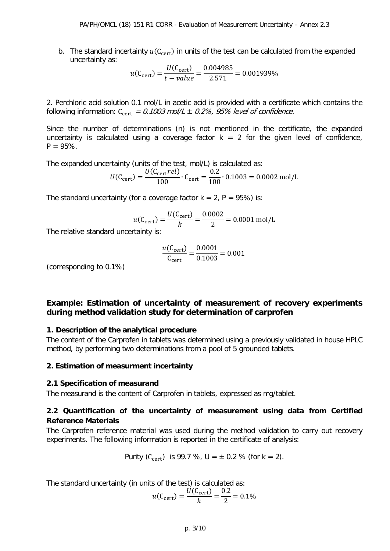b. The standard incertainty  $u(C<sub>cert</sub>)$  in units of the test can be calculated from the expanded uncertainty as:

$$
u(C_{\text{cert}}) = \frac{U(C_{\text{cert}})}{t - value} = \frac{0.004985}{2.571} = 0.001939\%
$$

2. Perchloric acid solution 0.1 mol/L in acetic acid is provided with a certificate which contains the following information:  $C_{\text{cert}} = 0.1003$  mol/L  $\pm$  0.2%, 95% level of confidence.

Since the number of determinations (n) is not mentioned in the certificate, the expanded uncertainty is calculated using a coverage factor  $k = 2$  for the given level of confidence,  $P = 95\%$ .

The expanded uncertainty (units of the test, mol/L) is calculated as:

$$
U(C_{\text{cert}}) = \frac{U(C_{\text{cert}} rel)}{100} \cdot C_{\text{cert}} = \frac{0.2}{100} \cdot 0.1003 = 0.0002 \text{ mol/L}
$$

The standard uncertainty (for a coverage factor  $k = 2$ ,  $P = 95\%$ ) is:

$$
u(C_{\text{cert}}) = \frac{U(C_{\text{cert}})}{k} = \frac{0.0002}{2} = 0.0001 \text{ mol/L}
$$

The relative standard uncertainty is:

$$
\frac{u(C_{\text{cert}})}{C_{\text{cert}}} = \frac{0.0001}{0.1003} = 0.001
$$

(corresponding to 0.1%)

## **Example: Estimation of uncertainty of measurement of recovery experiments during method validation study for determination of carprofen**

## **1. Description of the analytical procedure**

The content of the Carprofen in tablets was determined using a previously validated in house HPLC method, by performing two determinations from a pool of 5 grounded tablets.

#### **2. Estimation of measurment incertainty**

#### **2.1 Specification of measurand**

The measurand is the content of Carprofen in tablets, expressed as mg/tablet.

## **2.2 Quantification of the uncertainty of measurement using data from Certified Reference Materials**

The Carprofen reference material was used during the method validation to carry out recovery experiments. The following information is reported in the certificate of analysis:

Purity (C<sub>cert</sub>) is 99.7 %, 
$$
U = \pm 0.2
$$
 % (for  $k = 2$ ).

The standard uncertainty (in units of the test) is calculated as:

$$
u(C_{\text{cert}}) = \frac{U(C_{\text{cert}})}{k} = \frac{0.2}{2} = 0.1\%
$$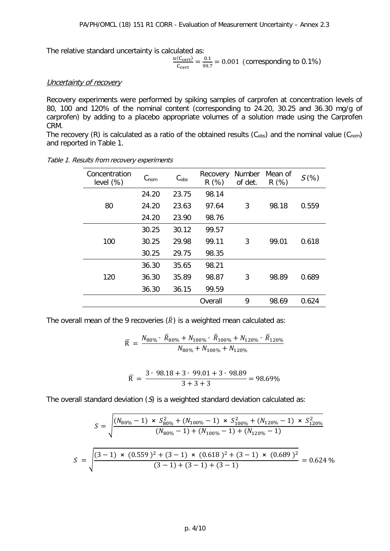The relative standard uncertainty is calculated as:

$$
\frac{u(C_{\text{cert}})}{C_{\text{cert}}} = \frac{0.1}{99.7} = 0.001 \text{ (corresponding to 0.1\%)}
$$

#### Uncertainty of recovery

Recovery experiments were performed by spiking samples of carprofen at concentration levels of 80, 100 and 120% of the nominal content (corresponding to 24.20, 30.25 and 36.30 mg/g of carprofen) by adding to a placebo appropriate volumes of a solution made using the Carprofen CRM.

The recovery (R) is calculated as a ratio of the obtained results ( $C_{obs}$ ) and the nominal value ( $C_{nom}$ ) and reported in Table 1.

| Concentration<br>level $(\%)$ | $C_{\text{nom}}$ | C <sub>obs</sub> | Recovery<br>R(%) | Number<br>of det. | Mean of<br>R(%) | $S(\%)$ |
|-------------------------------|------------------|------------------|------------------|-------------------|-----------------|---------|
| 80                            | 24.20            | 23.75            | 98.14            |                   |                 |         |
|                               | 24.20            | 23.63            | 97.64            | 3                 | 98.18           | 0.559   |
|                               | 24.20            | 23.90            | 98.76            |                   |                 |         |
| 100                           | 30.25            | 30.12            | 99.57            |                   |                 |         |
|                               | 30.25            | 29.98            | 99.11            | 3                 | 99.01           | 0.618   |
|                               | 30.25            | 29.75            | 98.35            |                   |                 |         |
| 120                           | 36.30            | 35.65            | 98.21            |                   |                 |         |
|                               | 36.30            | 35.89            | 98.87            | 3                 | 98.89           | 0.689   |
|                               | 36.30            | 36.15            | 99.59            |                   |                 |         |
|                               |                  |                  | Overall          | 9                 | 98.69           | 0.624   |

Table 1. Results from recovery experiments

The overall mean of the 9 recoveries  $(\overline{R})$  is a weighted mean calculated as:

$$
\overline{R} = \frac{N_{80\%} \cdot \overline{R}_{80\%} + N_{100\%} \cdot \overline{R}_{100\%} + N_{120\%} \cdot \overline{R}_{120\%}}{N_{80\%} + N_{100\%} + N_{120\%}}
$$

$$
\overline{R} = \frac{3 \cdot 98.18 + 3 \cdot 99.01 + 3 \cdot 98.89}{3 + 3 + 3} = 98.69\%
$$

The overall standard deviation  $(S)$  is a weighted standard deviation calculated as:

$$
S = \sqrt{\frac{(N_{80\%} - 1) \times S_{80\%}^2 + (N_{100\%} - 1) \times S_{100\%}^2 + (N_{120\%} - 1) \times S_{120\%}^2}{(N_{80\%} - 1) + (N_{100\%} - 1) + (N_{120\%} - 1)}}
$$

$$
S = \sqrt{\frac{(3 - 1) \times (0.559)^2 + (3 - 1) \times (0.618)^2 + (3 - 1) \times (0.689)^2}{(3 - 1) + (3 - 1) + (3 - 1)}} = 0.624 \, \%
$$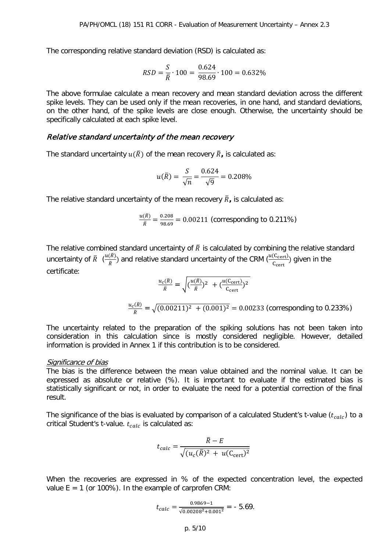The corresponding relative standard deviation (RSD) is calculated as:

$$
RSD = \frac{S}{\overline{R}} \cdot 100 = \frac{0.624}{98.69} \cdot 100 = 0.632\%
$$

The above formulae calculate a mean recovery and mean standard deviation across the different spike levels. They can be used only if the mean recoveries, in one hand, and standard deviations, on the other hand, of the spike levels are close enough. Otherwise, the uncertainty should be specifically calculated at each spike level.

#### Relative standard uncertainty of the mean recovery

The standard uncertainty  $u(\overline{R})$  of the mean recovery  $\overline{R}$ , is calculated as:

$$
u(\bar{R}) = \frac{S}{\sqrt{n}} = \frac{0.624}{\sqrt{9}} = 0.208\%
$$

The relative standard uncertainty of the mean recovery  $\bar{R}$ , is calculated as:

$$
\frac{u(\bar{R})}{\bar{R}} = \frac{0.208}{98.69} = 0.00211
$$
 (corresponding to 0.211%)

The relative combined standard uncertainty of  $\bar{R}$  is calculated by combining the relative standard uncertainty of  $\bar{R}$   $(\frac{u(R)}{\bar{R}})$  and relative standard uncertainty of the CRM  $(\frac{u(C_{\text{cert}})}{C_{\text{cert}}})$  given in the certificate:

$$
\frac{u_c(\bar{R})}{\bar{R}} = \sqrt{(\frac{u(\bar{R})}{\bar{R}})^2 + (\frac{u(C_{\text{cert}})}{C_{\text{cert}}})^2}
$$

$$
\frac{u_c(\bar{R})}{\bar{R}} = \sqrt{(0.00211)^2 + (0.001)^2} = 0.00233 \text{ (corresponding to 0.233%)}
$$

The uncertainty related to the preparation of the spiking solutions has not been taken into consideration in this calculation since is mostly considered negligible. However, detailed information is provided in Annex 1 if this contribution is to be considered.

#### Significance of bias

The bias is the difference between the mean value obtained and the nominal value. It can be expressed as absolute or relative (%). It is important to evaluate if the estimated bias is statistically significant or not, in order to evaluate the need for a potential correction of the final result.

The significance of the bias is evaluated by comparison of a calculated Student's t-value  $(t_{calc})$  to a critical Student's t-value.  $t_{calc}$  is calculated as:

$$
t_{calc} = \frac{\overline{R} - E}{\sqrt{(u_c(\overline{R})^2 + u(C_{cert})^2)}}
$$

When the recoveries are expressed in % of the expected concentration level, the expected value  $E = 1$  (or 100%). In the example of carprofen CRM:

$$
t_{calc} = \frac{0.9869 - 1}{\sqrt{0.00208^2 + 0.001^2}} = -5.69.
$$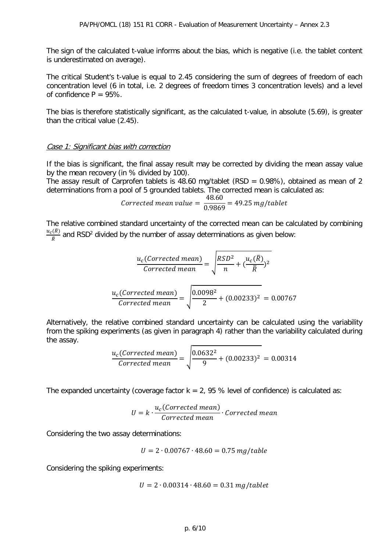The sign of the calculated t-value informs about the bias, which is negative (i.e. the tablet content is underestimated on average).

The critical Student's t-value is equal to 2.45 considering the sum of degrees of freedom of each concentration level (6 in total, i.e. 2 degrees of freedom times 3 concentration levels) and a level of confidence  $P = 95\%$ .

The bias is therefore statistically significant, as the calculated t-value, in absolute (5.69), is greater than the critical value (2.45).

#### Case 1: Significant bias with correction

If the bias is significant, the final assay result may be corrected by dividing the mean assay value by the mean recovery (in % divided by 100).

The assay result of Carprofen tablets is 48.60 mg/tablet (RSD =  $0.98\%$ ), obtained as mean of 2 determinations from a pool of 5 grounded tablets. The corrected mean is calculated as:

$$
Corrected mean value = \frac{48.60}{0.9869} = 49.25 mg/tablet
$$

The relative combined standard uncertainty of the corrected mean can be calculated by combining  $\frac{u_c(R)}{\bar{R}}$  and RSD<sup>2</sup> divided by the number of assay determinations as given below:

$$
\frac{u_c(\text{Corrected mean})}{\text{Corrected mean}} = \sqrt{\frac{RSD^2}{n} + (\frac{u_c(\overline{R})}{\overline{R}})^2}
$$

$$
\frac{u_c(\text{Corrected mean})}{\text{Corrected mean}} = \sqrt{\frac{0.0098^2}{2} + (0.00233)^2} = 0.00767
$$

Alternatively, the relative combined standard uncertainty can be calculated using the variability from the spiking experiments (as given in paragraph 4) rather than the variability calculated during the assay.

$$
\frac{u_c(\text{Corrected mean})}{\text{Corrected mean}} = \sqrt{\frac{0.0632^2}{9} + (0.00233)^2} = 0.00314
$$

The expanded uncertainty (coverage factor  $k = 2$ , 95 % level of confidence) is calculated as:

$$
U = k \cdot \frac{u_c(\text{Corrected mean})}{\text{Corrected mean}} \cdot \text{Corrected mean}
$$

Considering the two assay determinations:

$$
U = 2 \cdot 0.00767 \cdot 48.60 = 0.75 \, mg/table
$$

Considering the spiking experiments:

$$
U = 2 \cdot 0.00314 \cdot 48.60 = 0.31 \, mg/tablet
$$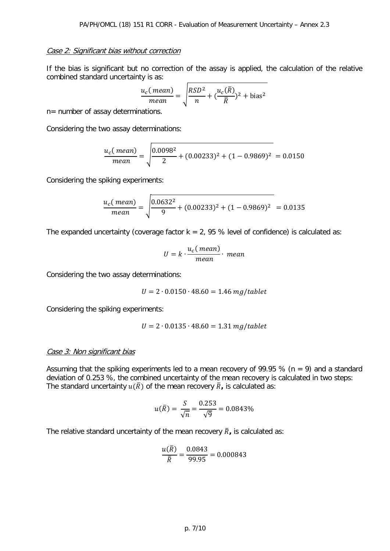#### Case 2: Significant bias without correction

If the bias is significant but no correction of the assay is applied, the calculation of the relative combined standard uncertainty is as:

$$
\frac{u_c(\text{mean})}{\text{mean}} = \sqrt{\frac{RSD^2}{n} + (\frac{u_c(\overline{R})}{\overline{R}})^2 + \text{bias}^2}
$$

n= number of assay determinations.

Considering the two assay determinations:

$$
\frac{u_c(\text{mean})}{\text{mean}} = \sqrt{\frac{0.0098^2}{2} + (0.00233)^2 + (1 - 0.9869)^2} = 0.0150
$$

Considering the spiking experiments:

$$
\frac{u_c(\text{mean})}{\text{mean}} = \sqrt{\frac{0.0632^2}{9} + (0.00233)^2 + (1 - 0.9869)^2} = 0.0135
$$

The expanded uncertainty (coverage factor  $k = 2$ , 95 % level of confidence) is calculated as:

$$
U = k \cdot \frac{u_c(\text{mean})}{\text{mean}} \cdot \text{mean}
$$

Considering the two assay determinations:

$$
U = 2 \cdot 0.0150 \cdot 48.60 = 1.46 \, mg/tablet
$$

Considering the spiking experiments:

$$
U = 2 \cdot 0.0135 \cdot 48.60 = 1.31 \, mg/tablet
$$

#### Case 3: Non significant bias

Assuming that the spiking experiments led to a mean recovery of 99.95 % (n = 9) and a standard deviation of 0.253 %, the combined uncertainty of the mean recovery is calculated in two steps: The standard uncertainty  $u(\overline{R})$  of the mean recovery  $\overline{R}$ , is calculated as:

$$
u(\bar{R}) = \frac{S}{\sqrt{n}} = \frac{0.253}{\sqrt{9}} = 0.0843\%
$$

The relative standard uncertainty of the mean recovery  $\bar{R}_i$ , is calculated as:

$$
\frac{u(R)}{\bar{R}} = \frac{0.0843}{99.95} = 0.000843
$$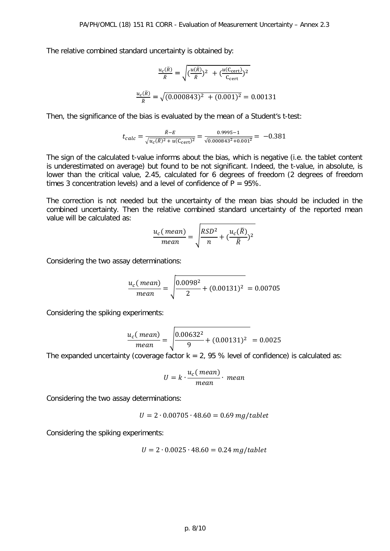The relative combined standard uncertainty is obtained by:

$$
\frac{u_c(\bar{R})}{\bar{R}} = \sqrt{\left(\frac{u(\bar{R})}{\bar{R}}\right)^2 + \left(\frac{u(C_{\text{cert}})}{C_{\text{cert}}}\right)^2}
$$

$$
\frac{u_c(\bar{R})}{\bar{R}} = \sqrt{(0.000843)^2 + (0.001)^2} = 0.00131
$$

Then, the significance of the bias is evaluated by the mean of a Student's t-test:

$$
t_{calc} = \frac{\bar{R} - E}{\sqrt{u_c(\bar{R})^2 + u(C_{\text{cert}})^2}} = \frac{0.9995 - 1}{\sqrt{0.000843^2 + 0.001^2}} = -0.381
$$

The sign of the calculated t-value informs about the bias, which is negative (i.e. the tablet content is underestimated on average) but found to be not significant. Indeed, the t-value, in absolute, is lower than the critical value, 2.45, calculated for 6 degrees of freedom (2 degrees of freedom times 3 concentration levels) and a level of confidence of  $P = 95\%$ .

The correction is not needed but the uncertainty of the mean bias should be included in the combined uncertainty. Then the relative combined standard uncertainty of the reported mean value will be calculated as:

$$
\frac{u_c(\text{mean})}{\text{mean}} = \sqrt{\frac{RSD^2}{n} + (\frac{u_c(\bar{R})}{\bar{R}})^2}
$$

Considering the two assay determinations:

$$
\frac{u_c(\text{mean})}{\text{mean}} = \sqrt{\frac{0.0098^2}{2} + (0.00131)^2} = 0.00705
$$

Considering the spiking experiments:

$$
\frac{u_c(\text{mean})}{\text{mean}} = \sqrt{\frac{0.00632^2}{9} + (0.00131)^2} = 0.0025
$$

The expanded uncertainty (coverage factor  $k = 2$ , 95 % level of confidence) is calculated as:

$$
U = k \cdot \frac{u_c(\text{mean})}{\text{mean}} \cdot \text{mean}
$$

Considering the two assay determinations:

$$
U = 2 \cdot 0.00705 \cdot 48.60 = 0.69 mg/tablet
$$

Considering the spiking experiments:

$$
U = 2 \cdot 0.0025 \cdot 48.60 = 0.24 \, mg/tablet
$$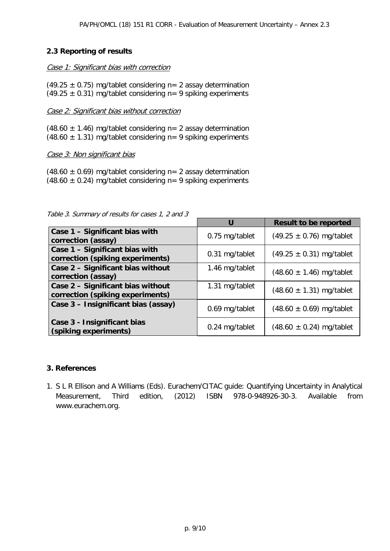## **2.3 Reporting of results**

#### Case 1: Significant bias with correction

(49.25  $\pm$  0.75) mg/tablet considering n= 2 assay determination (49.25  $\pm$  0.31) mg/tablet considering n= 9 spiking experiments

#### Case 2: Significant bias without correction

(48.60  $\pm$  1.46) mg/tablet considering n= 2 assay determination (48.60  $\pm$  1.31) mg/tablet considering n= 9 spiking experiments

#### Case 3: Non significant bias

 $(48.60 \pm 0.69)$  mg/tablet considering n= 2 assay determination (48.60  $\pm$  0.24) mg/tablet considering n= 9 spiking experiments

|                                                                       | U              | <b>Result to be reported</b> |
|-----------------------------------------------------------------------|----------------|------------------------------|
| Case 1 - Significant bias with<br>correction (assay)                  | 0.75 mg/tablet | $(49.25 \pm 0.76)$ mg/tablet |
| Case 1 - Significant bias with<br>correction (spiking experiments)    | 0.31 mg/tablet | $(49.25 \pm 0.31)$ mg/tablet |
| Case 2 - Significant bias without<br>correction (assay)               | 1.46 mg/tablet | $(48.60 \pm 1.46)$ mg/tablet |
| Case 2 - Significant bias without<br>correction (spiking experiments) | 1.31 mg/tablet | $(48.60 \pm 1.31)$ mg/tablet |
| Case 3 - Insignificant bias (assay)                                   | 0.69 mg/tablet | $(48.60 \pm 0.69)$ mg/tablet |
| Case 3 - Insignificant bias<br>(spiking experiments)                  | 0.24 mg/tablet | $(48.60 \pm 0.24)$ mg/tablet |

Table 3. Summary of results for cases 1, 2 and 3

#### **3. References**

1. S L R Ellison and A Williams (Eds). Eurachem/CITAC guide: Quantifying Uncertainty in Analytical Measurement, Third edition, (2012) ISBN 978-0-948926-30-3. Available from www.eurachem.org.